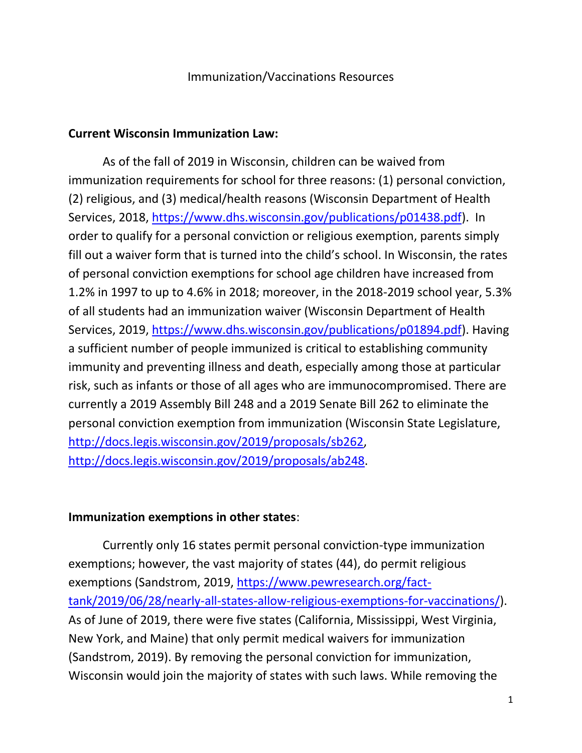### Immunization/Vaccinations Resources

#### **Current Wisconsin Immunization Law:**

As of the fall of 2019 in Wisconsin, children can be waived from immunization requirements for school for three reasons: (1) personal conviction, (2) religious, and (3) medical/health reasons (Wisconsin Department of Health Services, 2018, [https://www.dhs.wisconsin.gov/publications/p01438.pdf\)](https://www.dhs.wisconsin.gov/publications/p01438.pdf). In order to qualify for a personal conviction or religious exemption, parents simply fill out a waiver form that is turned into the child's school. In Wisconsin, the rates of personal conviction exemptions for school age children have increased from 1.2% in 1997 to up to 4.6% in 2018; moreover, in the 2018-2019 school year, 5.3% of all students had an immunization waiver (Wisconsin Department of Health Services, 2019, [https://www.dhs.wisconsin.gov/publications/p01894.pdf\)](https://www.dhs.wisconsin.gov/publications/p01894.pdf). Having a sufficient number of people immunized is critical to establishing community immunity and preventing illness and death, especially among those at particular risk, such as infants or those of all ages who are immunocompromised. There are currently a 2019 Assembly Bill 248 and a 2019 Senate Bill 262 to eliminate the personal conviction exemption from immunization (Wisconsin State Legislature, [http://docs.legis.wisconsin.gov/2019/proposals/sb262,](http://docs.legis.wisconsin.gov/2019/proposals/sb262) [http://docs.legis.wisconsin.gov/2019/proposals/ab248.](http://docs.legis.wisconsin.gov/2019/proposals/ab248)

### **Immunization exemptions in other states**:

Currently only 16 states permit personal conviction-type immunization exemptions; however, the vast majority of states (44), do permit religious exemptions (Sandstrom, 2019, [https://www.pewresearch.org/fact](https://www.pewresearch.org/fact-tank/2019/06/28/nearly-all-states-allow-religious-exemptions-for-vaccinations/)[tank/2019/06/28/nearly-all-states-allow-religious-exemptions-for-vaccinations/\)](https://www.pewresearch.org/fact-tank/2019/06/28/nearly-all-states-allow-religious-exemptions-for-vaccinations/). As of June of 2019, there were five states (California, Mississippi, West Virginia, New York, and Maine) that only permit medical waivers for immunization (Sandstrom, 2019). By removing the personal conviction for immunization, Wisconsin would join the majority of states with such laws. While removing the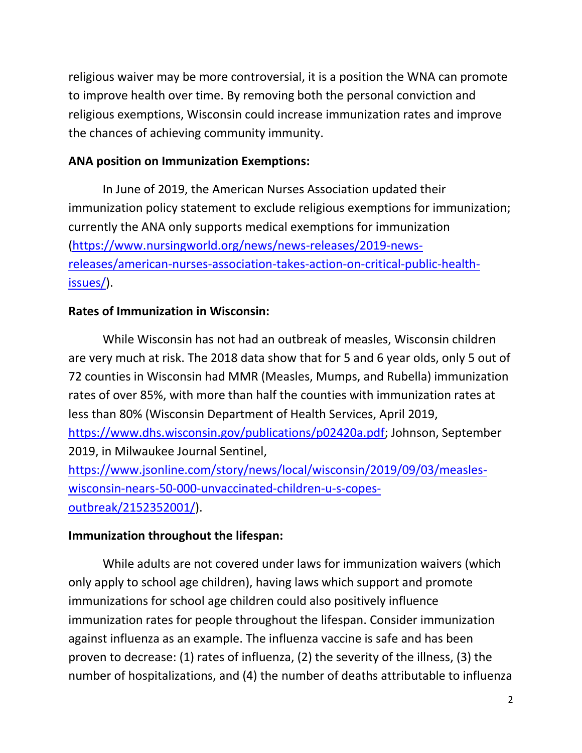religious waiver may be more controversial, it is a position the WNA can promote to improve health over time. By removing both the personal conviction and religious exemptions, Wisconsin could increase immunization rates and improve the chances of achieving community immunity.

### **ANA position on Immunization Exemptions:**

In June of 2019, the American Nurses Association updated their immunization policy statement to exclude religious exemptions for immunization; currently the ANA only supports medical exemptions for immunization [\(https://www.nursingworld.org/news/news-releases/2019-news](https://www.nursingworld.org/news/news-releases/2019-news-releases/american-nurses-association-takes-action-on-critical-public-health-issues/)[releases/american-nurses-association-takes-action-on-critical-public-health](https://www.nursingworld.org/news/news-releases/2019-news-releases/american-nurses-association-takes-action-on-critical-public-health-issues/)[issues/\)](https://www.nursingworld.org/news/news-releases/2019-news-releases/american-nurses-association-takes-action-on-critical-public-health-issues/).

## **Rates of Immunization in Wisconsin:**

While Wisconsin has not had an outbreak of measles, Wisconsin children are very much at risk. The 2018 data show that for 5 and 6 year olds, only 5 out of 72 counties in Wisconsin had MMR (Measles, Mumps, and Rubella) immunization rates of over 85%, with more than half the counties with immunization rates at less than 80% (Wisconsin Department of Health Services, April 2019, [https://www.dhs.wisconsin.gov/publications/p02420a.pdf;](https://www.dhs.wisconsin.gov/publications/p02420a.pdf) Johnson, September 2019, in Milwaukee Journal Sentinel, [https://www.jsonline.com/story/news/local/wisconsin/2019/09/03/measles](https://www.jsonline.com/story/news/local/wisconsin/2019/09/03/measles-wisconsin-nears-50-000-unvaccinated-children-u-s-copes-outbreak/2152352001/)[wisconsin-nears-50-000-unvaccinated-children-u-s-copes](https://www.jsonline.com/story/news/local/wisconsin/2019/09/03/measles-wisconsin-nears-50-000-unvaccinated-children-u-s-copes-outbreak/2152352001/)[outbreak/2152352001/\)](https://www.jsonline.com/story/news/local/wisconsin/2019/09/03/measles-wisconsin-nears-50-000-unvaccinated-children-u-s-copes-outbreak/2152352001/).

### **Immunization throughout the lifespan:**

While adults are not covered under laws for immunization waivers (which only apply to school age children), having laws which support and promote immunizations for school age children could also positively influence immunization rates for people throughout the lifespan. Consider immunization against influenza as an example. The influenza vaccine is safe and has been proven to decrease: (1) rates of influenza, (2) the severity of the illness, (3) the number of hospitalizations, and (4) the number of deaths attributable to influenza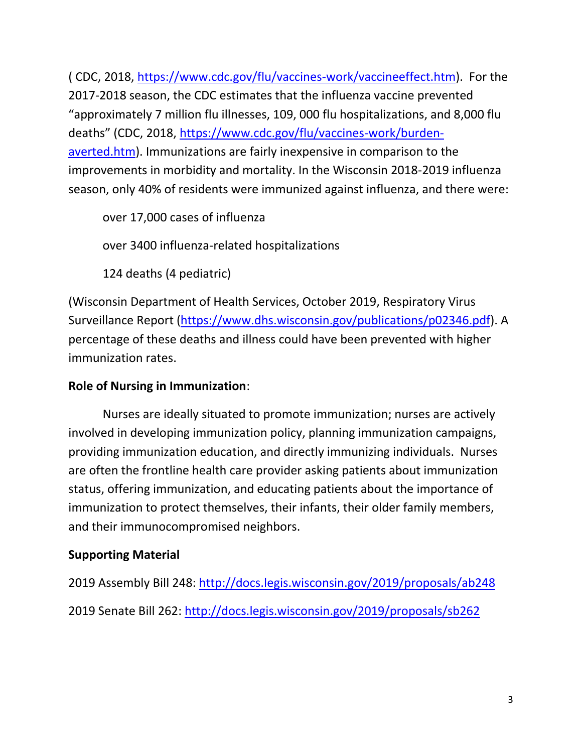( CDC, 2018, [https://www.cdc.gov/flu/vaccines-work/vaccineeffect.htm\)](https://www.cdc.gov/flu/vaccines-work/vaccineeffect.htm). For the 2017-2018 season, the CDC estimates that the influenza vaccine prevented "approximately 7 million flu illnesses, 109, 000 flu hospitalizations, and 8,000 flu deaths" (CDC, 2018, [https://www.cdc.gov/flu/vaccines-work/burden](https://www.cdc.gov/flu/vaccines-work/burden-averted.htm)[averted.htm\)](https://www.cdc.gov/flu/vaccines-work/burden-averted.htm). Immunizations are fairly inexpensive in comparison to the improvements in morbidity and mortality. In the Wisconsin 2018-2019 influenza season, only 40% of residents were immunized against influenza, and there were:

over 17,000 cases of influenza

over 3400 influenza-related hospitalizations

124 deaths (4 pediatric)

(Wisconsin Department of Health Services, October 2019, Respiratory Virus Surveillance Report [\(https://www.dhs.wisconsin.gov/publications/p02346.pdf\)](https://www.dhs.wisconsin.gov/publications/p02346.pdf). A percentage of these deaths and illness could have been prevented with higher immunization rates.

# **Role of Nursing in Immunization**:

Nurses are ideally situated to promote immunization; nurses are actively involved in developing immunization policy, planning immunization campaigns, providing immunization education, and directly immunizing individuals. Nurses are often the frontline health care provider asking patients about immunization status, offering immunization, and educating patients about the importance of immunization to protect themselves, their infants, their older family members, and their immunocompromised neighbors.

# **Supporting Material**

2019 Assembly Bill 248:<http://docs.legis.wisconsin.gov/2019/proposals/ab248> 2019 Senate Bill 262:<http://docs.legis.wisconsin.gov/2019/proposals/sb262>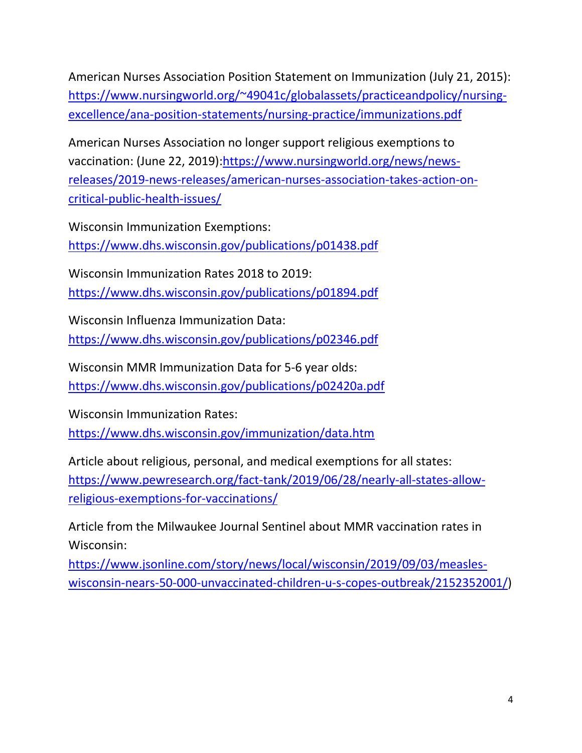American Nurses Association Position Statement on Immunization (July 21, 2015): [https://www.nursingworld.org/~49041c/globalassets/practiceandpolicy/nursing](https://www.nursingworld.org/~49041c/globalassets/practiceandpolicy/nursing-excellence/ana-position-statements/nursing-practice/immunizations.pdf)[excellence/ana-position-statements/nursing-practice/immunizations.pdf](https://www.nursingworld.org/~49041c/globalassets/practiceandpolicy/nursing-excellence/ana-position-statements/nursing-practice/immunizations.pdf)

American Nurses Association no longer support religious exemptions to vaccination: (June 22, 2019)[:https://www.nursingworld.org/news/news](https://www.nursingworld.org/news/news-releases/2019-news-releases/american-nurses-association-takes-action-on-critical-public-health-issues/)[releases/2019-news-releases/american-nurses-association-takes-action-on](https://www.nursingworld.org/news/news-releases/2019-news-releases/american-nurses-association-takes-action-on-critical-public-health-issues/)[critical-public-health-issues/](https://www.nursingworld.org/news/news-releases/2019-news-releases/american-nurses-association-takes-action-on-critical-public-health-issues/)

Wisconsin Immunization Exemptions: <https://www.dhs.wisconsin.gov/publications/p01438.pdf>

Wisconsin Immunization Rates 2018 to 2019: <https://www.dhs.wisconsin.gov/publications/p01894.pdf>

Wisconsin Influenza Immunization Data:

<https://www.dhs.wisconsin.gov/publications/p02346.pdf>

Wisconsin MMR Immunization Data for 5-6 year olds: <https://www.dhs.wisconsin.gov/publications/p02420a.pdf>

Wisconsin Immunization Rates: <https://www.dhs.wisconsin.gov/immunization/data.htm>

Article about religious, personal, and medical exemptions for all states: [https://www.pewresearch.org/fact-tank/2019/06/28/nearly-all-states-allow](https://www.pewresearch.org/fact-tank/2019/06/28/nearly-all-states-allow-religious-exemptions-for-vaccinations/)[religious-exemptions-for-vaccinations/](https://www.pewresearch.org/fact-tank/2019/06/28/nearly-all-states-allow-religious-exemptions-for-vaccinations/)

Article from the Milwaukee Journal Sentinel about MMR vaccination rates in Wisconsin:

[https://www.jsonline.com/story/news/local/wisconsin/2019/09/03/measles](https://www.jsonline.com/story/news/local/wisconsin/2019/09/03/measles-wisconsin-nears-50-000-unvaccinated-children-u-s-copes-outbreak/2152352001/)[wisconsin-nears-50-000-unvaccinated-children-u-s-copes-outbreak/2152352001/\)](https://www.jsonline.com/story/news/local/wisconsin/2019/09/03/measles-wisconsin-nears-50-000-unvaccinated-children-u-s-copes-outbreak/2152352001/)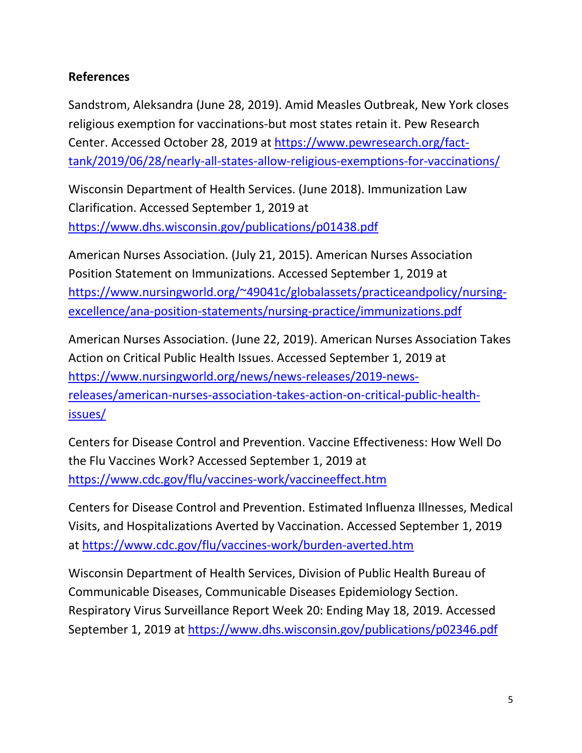## **References**

Sandstrom, Aleksandra (June 28, 2019). Amid Measles Outbreak, New York closes religious exemption for vaccinations-but most states retain it. Pew Research Center. Accessed October 28, 2019 at [https://www.pewresearch.org/fact](https://www.pewresearch.org/fact-tank/2019/06/28/nearly-all-states-allow-religious-exemptions-for-vaccinations/)[tank/2019/06/28/nearly-all-states-allow-religious-exemptions-for-vaccinations/](https://www.pewresearch.org/fact-tank/2019/06/28/nearly-all-states-allow-religious-exemptions-for-vaccinations/)

Wisconsin Department of Health Services. (June 2018). Immunization Law Clarification. Accessed September 1, 2019 at <https://www.dhs.wisconsin.gov/publications/p01438.pdf>

American Nurses Association. (July 21, 2015). American Nurses Association Position Statement on Immunizations. Accessed September 1, 2019 at [https://www.nursingworld.org/~49041c/globalassets/practiceandpolicy/nursing](https://www.nursingworld.org/~49041c/globalassets/practiceandpolicy/nursing-excellence/ana-position-statements/nursing-practice/immunizations.pdf)[excellence/ana-position-statements/nursing-practice/immunizations.pdf](https://www.nursingworld.org/~49041c/globalassets/practiceandpolicy/nursing-excellence/ana-position-statements/nursing-practice/immunizations.pdf)

American Nurses Association. (June 22, 2019). American Nurses Association Takes Action on Critical Public Health Issues. Accessed September 1, 2019 at [https://www.nursingworld.org/news/news-releases/2019-news](https://www.nursingworld.org/news/news-releases/2019-news-releases/american-nurses-association-takes-action-on-critical-public-health-issues/)[releases/american-nurses-association-takes-action-on-critical-public-health](https://www.nursingworld.org/news/news-releases/2019-news-releases/american-nurses-association-takes-action-on-critical-public-health-issues/)[issues/](https://www.nursingworld.org/news/news-releases/2019-news-releases/american-nurses-association-takes-action-on-critical-public-health-issues/)

Centers for Disease Control and Prevention. Vaccine Effectiveness: How Well Do the Flu Vaccines Work? Accessed September 1, 2019 at <https://www.cdc.gov/flu/vaccines-work/vaccineeffect.htm>

Centers for Disease Control and Prevention. Estimated Influenza Illnesses, Medical Visits, and Hospitalizations Averted by Vaccination. Accessed September 1, 2019 at<https://www.cdc.gov/flu/vaccines-work/burden-averted.htm>

Wisconsin Department of Health Services, Division of Public Health Bureau of Communicable Diseases, Communicable Diseases Epidemiology Section. Respiratory Virus Surveillance Report Week 20: Ending May 18, 2019. Accessed September 1, 2019 at<https://www.dhs.wisconsin.gov/publications/p02346.pdf>